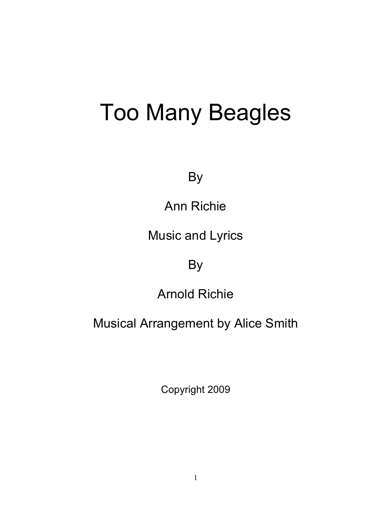## Too Many Beagles

By

Ann Richie

Music and Lyrics

By

Arnold Richie

Musical Arrangement by Alice Smith

Copyright 2009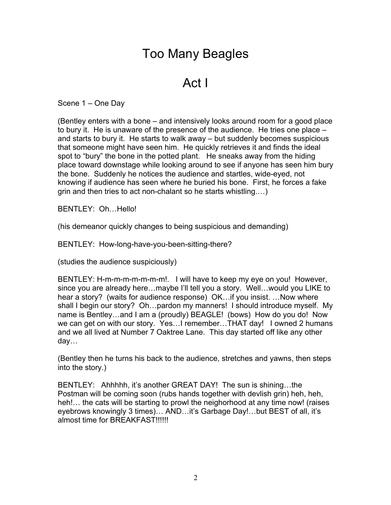## Too Many Beagles

## Act I

Scene 1 – One Day

(Bentley enters with a bone – and intensively looks around room for a good place to bury it. He is unaware of the presence of the audience. He tries one place – and starts to bury it. He starts to walk away – but suddenly becomes suspicious that someone might have seen him. He quickly retrieves it and finds the ideal spot to "bury" the bone in the potted plant. He sneaks away from the hiding place toward downstage while looking around to see if anyone has seen him bury the bone. Suddenly he notices the audience and startles, wide-eyed, not knowing if audience has seen where he buried his bone. First, he forces a fake grin and then tries to act non-chalant so he starts whistling.…)

BENTLEY: Oh…Hello!

(his demeanor quickly changes to being suspicious and demanding)

BENTLEY: How-long-have-you-been-sitting-there?

(studies the audience suspiciously)

BENTLEY: H-m-m-m-m-m-m-m!. I will have to keep my eye on you! However, since you are already here…maybe I'll tell you a story. Well…would you LIKE to hear a story? (waits for audience response) OK…if you insist. …Now where shall I begin our story? Oh…pardon my manners! I should introduce myself. My name is Bentley…and I am a (proudly) BEAGLE! (bows) How do you do! Now we can get on with our story. Yes…I remember…THAT day! I owned 2 humans and we all lived at Number 7 Oaktree Lane. This day started off like any other day…

(Bentley then he turns his back to the audience, stretches and yawns, then steps into the story.)

BENTLEY: Ahhhhh, it's another GREAT DAY! The sun is shining…the Postman will be coming soon (rubs hands together with devlish grin) heh, heh, heh!... the cats will be starting to prowl the neighorhood at any time now! (raises eyebrows knowingly 3 times)… AND…it's Garbage Day!…but BEST of all, it's almost time for BREAKFAST!!!!!!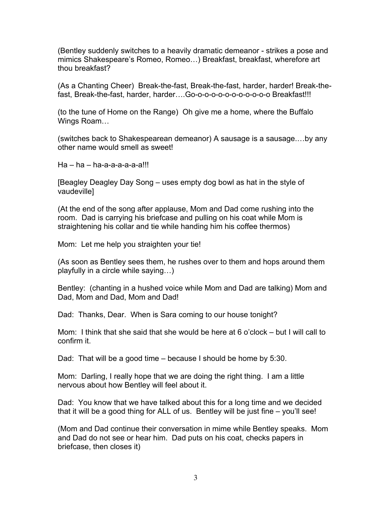(Bentley suddenly switches to a heavily dramatic demeanor - strikes a pose and mimics Shakespeare's Romeo, Romeo…) Breakfast, breakfast, wherefore art thou breakfast?

(As a Chanting Cheer) Break-the-fast, Break-the-fast, harder, harder! Break-thefast, Break-the-fast, harder, harder….Go-o-o-o-o-o-o-o-o-o-o-o Breakfast!!!

(to the tune of Home on the Range) Oh give me a home, where the Buffalo Wings Roam…

(switches back to Shakespearean demeanor) A sausage is a sausage.…by any other name would smell as sweet!

Ha – ha – ha-a-a-a-a-a-a!!!

[Beagley Deagley Day Song – uses empty dog bowl as hat in the style of vaudeville]

(At the end of the song after applause, Mom and Dad come rushing into the room. Dad is carrying his briefcase and pulling on his coat while Mom is straightening his collar and tie while handing him his coffee thermos)

Mom: Let me help you straighten your tie!

(As soon as Bentley sees them, he rushes over to them and hops around them playfully in a circle while saying…)

Bentley: (chanting in a hushed voice while Mom and Dad are talking) Mom and Dad, Mom and Dad, Mom and Dad!

Dad: Thanks, Dear. When is Sara coming to our house tonight?

Mom: I think that she said that she would be here at 6 o'clock – but I will call to confirm it.

Dad: That will be a good time – because I should be home by 5:30.

Mom: Darling, I really hope that we are doing the right thing. I am a little nervous about how Bentley will feel about it.

Dad: You know that we have talked about this for a long time and we decided that it will be a good thing for ALL of us. Bentley will be just fine – you'll see!

(Mom and Dad continue their conversation in mime while Bentley speaks. Mom and Dad do not see or hear him. Dad puts on his coat, checks papers in briefcase, then closes it)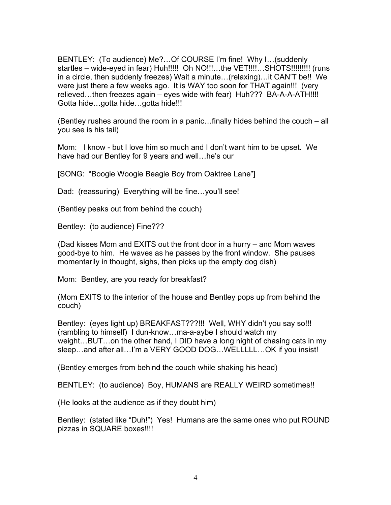BENTLEY: (To audience) Me?…Of COURSE I'm fine! Why I…(suddenly startles – wide-eyed in fear) Huh!!!!! Oh NO!!!…the VET!!!!…SHOTS!!!!!!!!! (runs in a circle, then suddenly freezes) Wait a minute…(relaxing)…it CAN'T be!! We were just there a few weeks ago. It is WAY too soon for THAT again!!! (very relieved...then freezes again – eyes wide with fear) Huh??? BA-A-A-ATH!!!! Gotta hide…gotta hide…gotta hide!!!

(Bentley rushes around the room in a panic…finally hides behind the couch – all you see is his tail)

Mom: I know - but I love him so much and I don't want him to be upset. We have had our Bentley for 9 years and well…he's our

[SONG: "Boogie Woogie Beagle Boy from Oaktree Lane"]

Dad: (reassuring) Everything will be fine...you'll see!

(Bentley peaks out from behind the couch)

Bentley: (to audience) Fine???

(Dad kisses Mom and EXITS out the front door in a hurry – and Mom waves good-bye to him. He waves as he passes by the front window. She pauses momentarily in thought, sighs, then picks up the empty dog dish)

Mom: Bentley, are you ready for breakfast?

(Mom EXITS to the interior of the house and Bentley pops up from behind the couch)

Bentley: (eyes light up) BREAKFAST???!!! Well, WHY didn't you say so!!! (rambling to himself) I dun-know…ma-a-aybe I should watch my weight…BUT…on the other hand, I DID have a long night of chasing cats in my sleep...and after all...I'm a VERY GOOD DOG...WELLLLL...OK if you insist!

(Bentley emerges from behind the couch while shaking his head)

BENTLEY: (to audience) Boy, HUMANS are REALLY WEIRD sometimes!!

(He looks at the audience as if they doubt him)

Bentley: (stated like "Duh!") Yes! Humans are the same ones who put ROUND pizzas in SQUARE boxes!!!!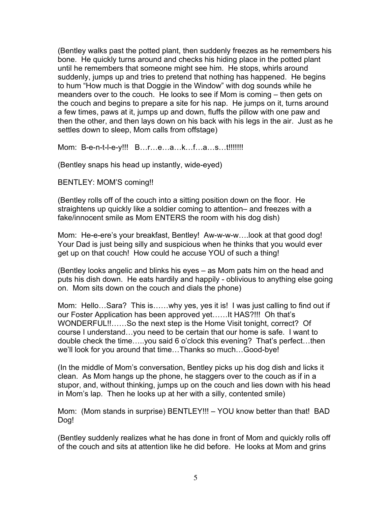(Bentley walks past the potted plant, then suddenly freezes as he remembers his bone. He quickly turns around and checks his hiding place in the potted plant until he remembers that someone might see him. He stops, whirls around suddenly, jumps up and tries to pretend that nothing has happened. He begins to hum "How much is that Doggie in the Window" with dog sounds while he meanders over to the couch. He looks to see if Mom is coming – then gets on the couch and begins to prepare a site for his nap. He jumps on it, turns around a few times, paws at it, jumps up and down, fluffs the pillow with one paw and then the other, and then lays down on his back with his legs in the air. Just as he settles down to sleep, Mom calls from offstage)

Mom: B-e-n-t-l-e-y!!! B…r…e…a…k…f…a…s…t!!!!!!!

(Bentley snaps his head up instantly, wide-eyed)

BENTLEY: MOM'S coming!!

(Bentley rolls off of the couch into a sitting position down on the floor. He straightens up quickly like a soldier coming to attention– and freezes with a fake/innocent smile as Mom ENTERS the room with his dog dish)

Mom: He-e-ere's your breakfast, Bentley! Aw-w-w-w….look at that good dog! Your Dad is just being silly and suspicious when he thinks that you would ever get up on that couch! How could he accuse YOU of such a thing!

(Bentley looks angelic and blinks his eyes – as Mom pats him on the head and puts his dish down. He eats hardily and happily - oblivious to anything else going on. Mom sits down on the couch and dials the phone)

Mom: Hello…Sara? This is……why yes, yes it is! I was just calling to find out if our Foster Application has been approved yet……It HAS?!!! Oh that's WONDERFUL!!……So the next step is the Home Visit tonight, correct? Of course I understand…you need to be certain that our home is safe. I want to double check the time…..you said 6 o'clock this evening? That's perfect…then we'll look for you around that time…Thanks so much…Good-bye!

(In the middle of Mom's conversation, Bentley picks up his dog dish and licks it clean. As Mom hangs up the phone, he staggers over to the couch as if in a stupor, and, without thinking, jumps up on the couch and lies down with his head in Mom's lap. Then he looks up at her with a silly, contented smile)

Mom: (Mom stands in surprise) BENTLEY!!! – YOU know better than that! BAD Dog!

(Bentley suddenly realizes what he has done in front of Mom and quickly rolls off of the couch and sits at attention like he did before. He looks at Mom and grins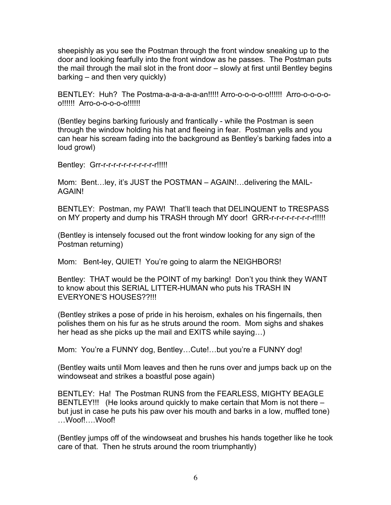sheepishly as you see the Postman through the front window sneaking up to the door and looking fearfully into the front window as he passes. The Postman puts the mail through the mail slot in the front door – slowly at first until Bentley begins barking – and then very quickly)

BENTLEY: Huh? The Postma-a-a-a-a-a-an!!!!! Arro-o-o-o-o-o!!!!!! Arro-o-o-o-oo!!!!!! Arro-o-o-o-o-o!!!!!!

(Bentley begins barking furiously and frantically - while the Postman is seen through the window holding his hat and fleeing in fear. Postman yells and you can hear his scream fading into the background as Bentley's barking fades into a loud growl)

Bentley: Grr-r-r-r-r-r-r-r-r-r-r-r-r!!!!!

Mom: Bent…ley, it's JUST the POSTMAN – AGAIN!…delivering the MAIL-AGAIN!

BENTLEY: Postman, my PAW! That'll teach that DELINQUENT to TRESPASS on MY property and dump his TRASH through MY door! GRR-r-r-r-r-r-r-r-r-r!!!!!

(Bentley is intensely focused out the front window looking for any sign of the Postman returning)

Mom: Bent-ley, QUIET! You're going to alarm the NEIGHBORS!

Bentley: THAT would be the POINT of my barking! Don't you think they WANT to know about this SERIAL LITTER-HUMAN who puts his TRASH IN EVERYONE'S HOUSES??!!!

(Bentley strikes a pose of pride in his heroism, exhales on his fingernails, then polishes them on his fur as he struts around the room. Mom sighs and shakes her head as she picks up the mail and EXITS while saying…)

Mom: You're a FUNNY dog, Bentley…Cute!…but you're a FUNNY dog!

(Bentley waits until Mom leaves and then he runs over and jumps back up on the windowseat and strikes a boastful pose again)

BENTLEY: Ha! The Postman RUNS from the FEARLESS, MIGHTY BEAGLE BENTLEY!!! (He looks around quickly to make certain that Mom is not there – but just in case he puts his paw over his mouth and barks in a low, muffled tone) …Woof!….Woof!

(Bentley jumps off of the windowseat and brushes his hands together like he took care of that. Then he struts around the room triumphantly)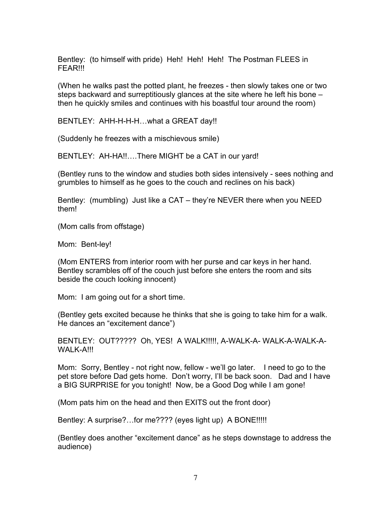Bentley: (to himself with pride) Heh! Heh! Heh! The Postman FLEES in FEAR!!!

(When he walks past the potted plant, he freezes - then slowly takes one or two steps backward and surreptitiously glances at the site where he left his bone – then he quickly smiles and continues with his boastful tour around the room)

BENTLEY: AHH-H-H-H…what a GREAT day!!

(Suddenly he freezes with a mischievous smile)

BENTLEY: AH-HA!!….There MIGHT be a CAT in our yard!

(Bentley runs to the window and studies both sides intensively - sees nothing and grumbles to himself as he goes to the couch and reclines on his back)

Bentley: (mumbling) Just like a CAT – they're NEVER there when you NEED them!

(Mom calls from offstage)

Mom: Bent-ley!

(Mom ENTERS from interior room with her purse and car keys in her hand. Bentley scrambles off of the couch just before she enters the room and sits beside the couch looking innocent)

Mom: I am going out for a short time.

(Bentley gets excited because he thinks that she is going to take him for a walk. He dances an "excitement dance")

BENTLEY: OUT????? Oh, YES! A WALK!!!!!, A-WALK-A- WALK-A-WALK-A-WALK-A!!!

Mom: Sorry, Bentley - not right now, fellow - we'll go later. I need to go to the pet store before Dad gets home. Don't worry, I'll be back soon. Dad and I have a BIG SURPRISE for you tonight! Now, be a Good Dog while I am gone!

(Mom pats him on the head and then EXITS out the front door)

Bentley: A surprise?...for me???? (eyes light up) A BONE!!!!!

(Bentley does another "excitement dance" as he steps downstage to address the audience)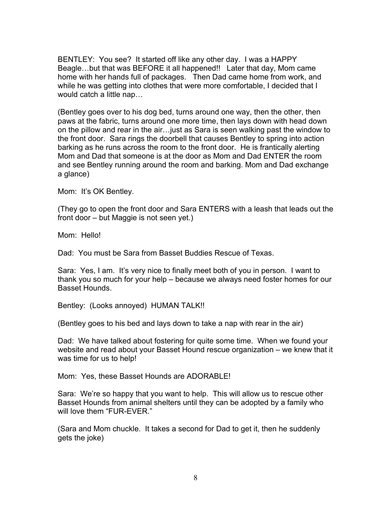BENTLEY: You see? It started off like any other day. I was a HAPPY Beagle…but that was BEFORE it all happened!! Later that day, Mom came home with her hands full of packages. Then Dad came home from work, and while he was getting into clothes that were more comfortable, I decided that I would catch a little nap…

(Bentley goes over to his dog bed, turns around one way, then the other, then paws at the fabric, turns around one more time, then lays down with head down on the pillow and rear in the air…just as Sara is seen walking past the window to the front door. Sara rings the doorbell that causes Bentley to spring into action barking as he runs across the room to the front door. He is frantically alerting Mom and Dad that someone is at the door as Mom and Dad ENTER the room and see Bentley running around the room and barking. Mom and Dad exchange a glance)

Mom: It's OK Bentley.

(They go to open the front door and Sara ENTERS with a leash that leads out the front door – but Maggie is not seen yet.)

Mom: Hello!

Dad: You must be Sara from Basset Buddies Rescue of Texas.

Sara: Yes, I am. It's very nice to finally meet both of you in person. I want to thank you so much for your help – because we always need foster homes for our Basset Hounds.

Bentley: (Looks annoyed) HUMAN TALK!!

(Bentley goes to his bed and lays down to take a nap with rear in the air)

Dad: We have talked about fostering for quite some time. When we found your website and read about your Basset Hound rescue organization – we knew that it was time for us to help!

Mom: Yes, these Basset Hounds are ADORABLE!

Sara: We're so happy that you want to help. This will allow us to rescue other Basset Hounds from animal shelters until they can be adopted by a family who will love them "FUR-EVER."

(Sara and Mom chuckle. It takes a second for Dad to get it, then he suddenly gets the joke)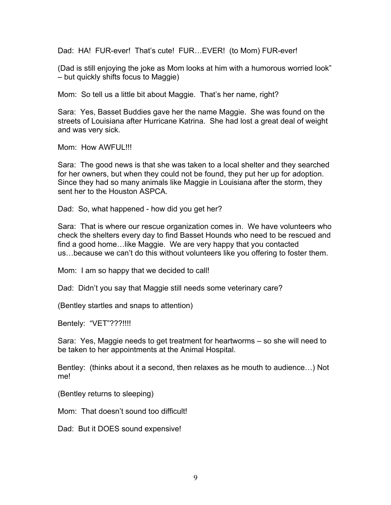Dad: HA! FUR-ever! That's cute! FUR…EVER! (to Mom) FUR-ever!

(Dad is still enjoying the joke as Mom looks at him with a humorous worried look" – but quickly shifts focus to Maggie)

Mom: So tell us a little bit about Maggie. That's her name, right?

Sara: Yes, Basset Buddies gave her the name Maggie. She was found on the streets of Louisiana after Hurricane Katrina. She had lost a great deal of weight and was very sick.

Mom: How AWFUL!!!

Sara: The good news is that she was taken to a local shelter and they searched for her owners, but when they could not be found, they put her up for adoption. Since they had so many animals like Maggie in Louisiana after the storm, they sent her to the Houston ASPCA.

Dad: So, what happened - how did you get her?

Sara: That is where our rescue organization comes in. We have volunteers who check the shelters every day to find Basset Hounds who need to be rescued and find a good home…like Maggie. We are very happy that you contacted us…because we can't do this without volunteers like you offering to foster them.

Mom: I am so happy that we decided to call!

Dad: Didn't you say that Maggie still needs some veterinary care?

(Bentley startles and snaps to attention)

Bentely: "VET"???!!!!

Sara: Yes, Maggie needs to get treatment for heartworms – so she will need to be taken to her appointments at the Animal Hospital.

Bentley: (thinks about it a second, then relaxes as he mouth to audience…) Not me!

(Bentley returns to sleeping)

Mom: That doesn't sound too difficult!

Dad: But it DOES sound expensive!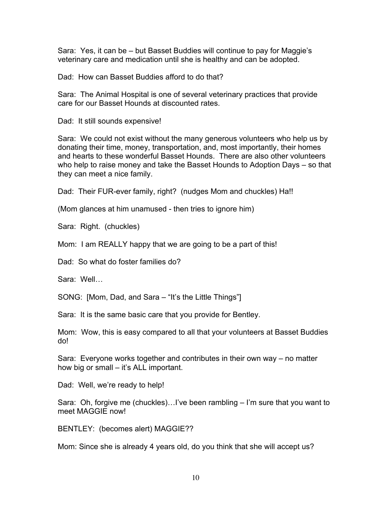Sara: Yes, it can be – but Basset Buddies will continue to pay for Maggie's veterinary care and medication until she is healthy and can be adopted.

Dad: How can Basset Buddies afford to do that?

Sara: The Animal Hospital is one of several veterinary practices that provide care for our Basset Hounds at discounted rates.

Dad: It still sounds expensive!

Sara: We could not exist without the many generous volunteers who help us by donating their time, money, transportation, and, most importantly, their homes and hearts to these wonderful Basset Hounds. There are also other volunteers who help to raise money and take the Basset Hounds to Adoption Days – so that they can meet a nice family.

Dad: Their FUR-ever family, right? (nudges Mom and chuckles) Ha!!

(Mom glances at him unamused - then tries to ignore him)

Sara: Right. (chuckles)

Mom: I am REALLY happy that we are going to be a part of this!

Dad: So what do foster families do?

Sara: Well…

SONG: [Mom, Dad, and Sara – "It's the Little Things"]

Sara: It is the same basic care that you provide for Bentley.

Mom: Wow, this is easy compared to all that your volunteers at Basset Buddies do!

Sara: Everyone works together and contributes in their own way – no matter how big or small – it's ALL important.

Dad: Well, we're ready to help!

Sara: Oh, forgive me (chuckles)…I've been rambling – I'm sure that you want to meet MAGGIE now!

BENTLEY: (becomes alert) MAGGIE??

Mom: Since she is already 4 years old, do you think that she will accept us?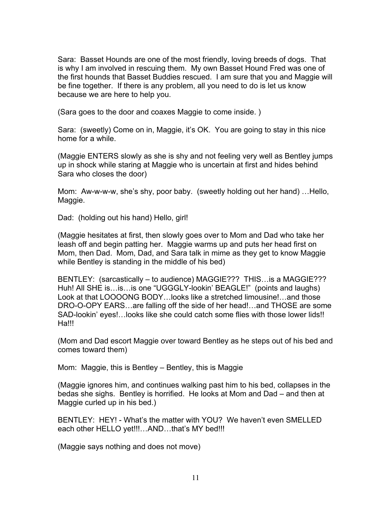Sara: Basset Hounds are one of the most friendly, loving breeds of dogs. That is why I am involved in rescuing them. My own Basset Hound Fred was one of the first hounds that Basset Buddies rescued. I am sure that you and Maggie will be fine together. If there is any problem, all you need to do is let us know because we are here to help you.

(Sara goes to the door and coaxes Maggie to come inside. )

Sara: (sweetly) Come on in, Maggie, it's OK. You are going to stay in this nice home for a while.

(Maggie ENTERS slowly as she is shy and not feeling very well as Bentley jumps up in shock while staring at Maggie who is uncertain at first and hides behind Sara who closes the door)

Mom: Aw-w-w-w, she's shy, poor baby. (sweetly holding out her hand) …Hello, Maggie.

Dad: (holding out his hand) Hello, girl!

(Maggie hesitates at first, then slowly goes over to Mom and Dad who take her leash off and begin patting her. Maggie warms up and puts her head first on Mom, then Dad. Mom, Dad, and Sara talk in mime as they get to know Maggie while Bentley is standing in the middle of his bed)

BENTLEY: (sarcastically – to audience) MAGGIE??? THIS…is a MAGGIE??? Huh! All SHE is…is…is one "UGGGLY-lookin' BEAGLE!" (points and laughs) Look at that LOOOONG BODY…looks like a stretched limousine!…and those DRO-O-OPY EARS…are falling off the side of her head!…and THOSE are some SAD-lookin' eyes!…looks like she could catch some flies with those lower lids!! Ha!!!

(Mom and Dad escort Maggie over toward Bentley as he steps out of his bed and comes toward them)

Mom: Maggie, this is Bentley – Bentley, this is Maggie

(Maggie ignores him, and continues walking past him to his bed, collapses in the bedas she sighs. Bentley is horrified. He looks at Mom and Dad – and then at Maggie curled up in his bed.)

BENTLEY: HEY! - What's the matter with YOU? We haven't even SMELLED each other HELLO yet!!!...AND...that's MY bed!!!

(Maggie says nothing and does not move)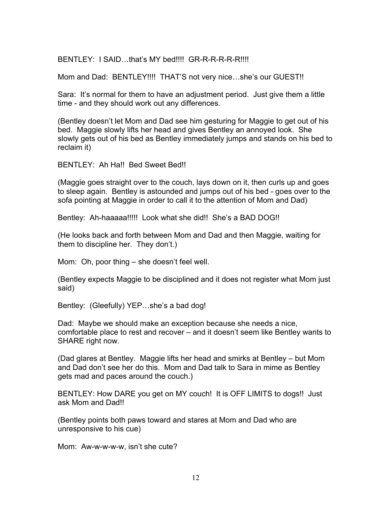BENTLEY: I SAID...that's MY bed!!!! GR-R-R-R-R-R!!!!

Mom and Dad: BENTLEY!!!! THAT'S not very nice...she's our GUEST!!

Sara: It's normal for them to have an adjustment period. Just give them a little time - and they should work out any differences.

(Bentley doesn't let Mom and Dad see him gesturing for Maggie to get out of his bed. Maggie slowly lifts her head and gives Bentley an annoyed look. She slowly gets out of his bed as Bentley immediately jumps and stands on his bed to reclaim it)

BENTLEY: Ah Hall Bed Sweet Bed!!

(Maggie goes straight over to the couch, lays down on it, then curls up and goes to sleep again. Bentley is astounded and jumps out of his bed - goes over to the sofa pointing at Maggie in order to call it to the attention of Mom and Dad)

Bentley: Ah-haaaaa!!!!! Look what she did!! She's a BAD DOG!!

(He looks back and forth between Mom and Dad and then Maggie, waiting for them to discipline her. They don't.)

Mom: Oh, poor thing – she doesn't feel well.

(Bentley expects Maggie to be disciplined and it does not register what Mom just said)

Bentley: (Gleefully) YEP…she's a bad dog!

Dad: Maybe we should make an exception because she needs a nice, comfortable place to rest and recover – and it doesn't seem like Bentley wants to SHARE right now.

(Dad glares at Bentley. Maggie lifts her head and smirks at Bentley – but Mom and Dad don't see her do this. Mom and Dad talk to Sara in mime as Bentley gets mad and paces around the couch.)

BENTLEY: How DARE you get on MY couch! It is OFF LIMITS to dogs!! Just ask Mom and Dad!!

(Bentley points both paws toward and stares at Mom and Dad who are unresponsive to his cue)

Mom: Aw-w-w-w-w, isn't she cute?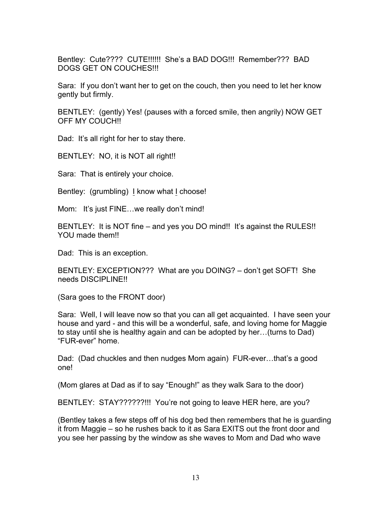Bentley: Cute???? CUTE!!!!!! She's a BAD DOG!!! Remember??? BAD DOGS GET ON COUCHES!!!

Sara: If you don't want her to get on the couch, then you need to let her know gently but firmly.

BENTLEY: (gently) Yes! (pauses with a forced smile, then angrily) NOW GET OFF MY COUCH!!

Dad: It's all right for her to stay there.

BENTLEY: NO, it is NOT all right!!

Sara: That is entirely your choice.

Bentley: (grumbling) I know what I choose!

Mom: It's just FINE... we really don't mind!

BENTLEY: It is NOT fine – and yes you DO mind!! It's against the RULES!! YOU made them!!

Dad: This is an exception.

BENTLEY: EXCEPTION??? What are you DOING? – don't get SOFT! She needs DISCIPLINE!!

(Sara goes to the FRONT door)

Sara: Well, I will leave now so that you can all get acquainted. I have seen your house and yard - and this will be a wonderful, safe, and loving home for Maggie to stay until she is healthy again and can be adopted by her…(turns to Dad) "FUR-ever" home.

Dad: (Dad chuckles and then nudges Mom again) FUR-ever…that's a good one!

(Mom glares at Dad as if to say "Enough!" as they walk Sara to the door)

BENTLEY: STAY??????!!! You're not going to leave HER here, are you?

(Bentley takes a few steps off of his dog bed then remembers that he is guarding it from Maggie – so he rushes back to it as Sara EXITS out the front door and you see her passing by the window as she waves to Mom and Dad who wave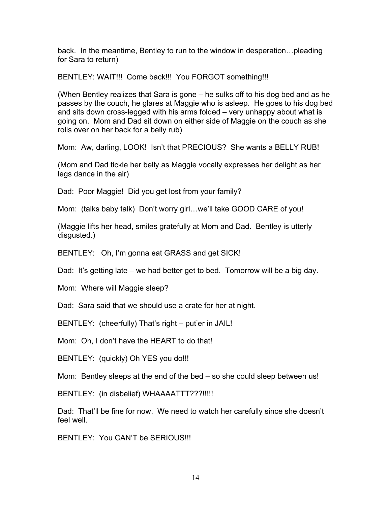back. In the meantime, Bentley to run to the window in desperation…pleading for Sara to return)

BENTLEY: WAIT!!! Come back!!! You FORGOT something!!!

(When Bentley realizes that Sara is gone – he sulks off to his dog bed and as he passes by the couch, he glares at Maggie who is asleep. He goes to his dog bed and sits down cross-legged with his arms folded – very unhappy about what is going on. Mom and Dad sit down on either side of Maggie on the couch as she rolls over on her back for a belly rub)

Mom: Aw, darling, LOOK! Isn't that PRECIOUS? She wants a BELLY RUB!

(Mom and Dad tickle her belly as Maggie vocally expresses her delight as her legs dance in the air)

Dad: Poor Maggie! Did you get lost from your family?

Mom: (talks baby talk) Don't worry girl…we'll take GOOD CARE of you!

(Maggie lifts her head, smiles gratefully at Mom and Dad. Bentley is utterly disgusted.)

BENTLEY: Oh, I'm gonna eat GRASS and get SICK!

Dad: It's getting late – we had better get to bed. Tomorrow will be a big day.

Mom: Where will Maggie sleep?

Dad: Sara said that we should use a crate for her at night.

BENTLEY: (cheerfully) That's right – put'er in JAIL!

Mom: Oh, I don't have the HEART to do that!

BENTLEY: (quickly) Oh YES you do!!!

Mom: Bentley sleeps at the end of the bed – so she could sleep between us!

BENTLEY: (in disbelief) WHAAAATTT???!!!!!

Dad: That'll be fine for now. We need to watch her carefully since she doesn't feel well.

BENTLEY: You CAN'T be SERIOUS!!!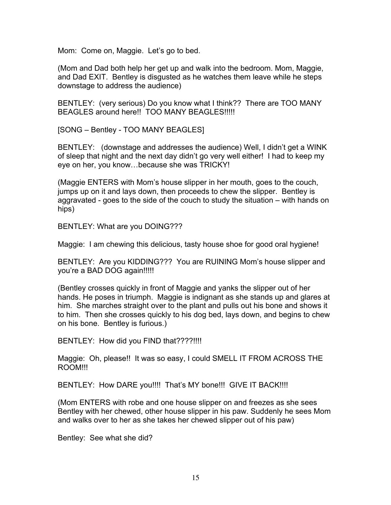Mom: Come on, Maggie. Let's go to bed.

(Mom and Dad both help her get up and walk into the bedroom. Mom, Maggie, and Dad EXIT. Bentley is disgusted as he watches them leave while he steps downstage to address the audience)

BENTLEY: (very serious) Do you know what I think?? There are TOO MANY BEAGLES around here!! TOO MANY BEAGLES!!!!!

[SONG – Bentley - TOO MANY BEAGLES]

BENTLEY: (downstage and addresses the audience) Well, I didn't get a WINK of sleep that night and the next day didn't go very well either! I had to keep my eye on her, you know…because she was TRICKY!

(Maggie ENTERS with Mom's house slipper in her mouth, goes to the couch, jumps up on it and lays down, then proceeds to chew the slipper. Bentley is aggravated - goes to the side of the couch to study the situation – with hands on hips)

BENTLEY: What are you DOING???

Maggie: I am chewing this delicious, tasty house shoe for good oral hygiene!

BENTLEY: Are you KIDDING??? You are RUINING Mom's house slipper and you're a BAD DOG again!!!!!

(Bentley crosses quickly in front of Maggie and yanks the slipper out of her hands. He poses in triumph. Maggie is indignant as she stands up and glares at him. She marches straight over to the plant and pulls out his bone and shows it to him. Then she crosses quickly to his dog bed, lays down, and begins to chew on his bone. Bentley is furious.)

BENTLEY: How did you FIND that????!!!!

Maggie: Oh, please!! It was so easy, I could SMELL IT FROM ACROSS THE ROOM!!!

BENTLEY: How DARE you!!!! That's MY bone!!! GIVE IT BACK!!!!

(Mom ENTERS with robe and one house slipper on and freezes as she sees Bentley with her chewed, other house slipper in his paw. Suddenly he sees Mom and walks over to her as she takes her chewed slipper out of his paw)

Bentley: See what she did?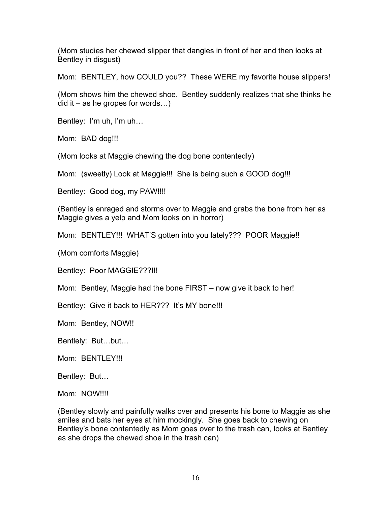(Mom studies her chewed slipper that dangles in front of her and then looks at Bentley in disgust)

Mom: BENTLEY, how COULD you?? These WERE my favorite house slippers!

(Mom shows him the chewed shoe. Bentley suddenly realizes that she thinks he  $did$  it – as he gropes for words...)

Bentley: I'm uh, I'm uh…

Mom: BAD dog!!!

(Mom looks at Maggie chewing the dog bone contentedly)

Mom: (sweetly) Look at Maggie!!! She is being such a GOOD dog!!!

Bentley: Good dog, my PAW!!!!

(Bentley is enraged and storms over to Maggie and grabs the bone from her as Maggie gives a yelp and Mom looks on in horror)

Mom: BENTLEY!!! WHAT'S gotten into you lately??? POOR Maggie!!

(Mom comforts Maggie)

Bentley: Poor MAGGIE???!!!

Mom: Bentley, Maggie had the bone FIRST – now give it back to her!

Bentley: Give it back to HER??? It's MY bone!!!

Mom: Bentley, NOW!!

Bentlely: But…but…

Mom: BENTLEY!!!

Bentley: But…

Mom: NOW!!!!

(Bentley slowly and painfully walks over and presents his bone to Maggie as she smiles and bats her eyes at him mockingly. She goes back to chewing on Bentley's bone contentedly as Mom goes over to the trash can, looks at Bentley as she drops the chewed shoe in the trash can)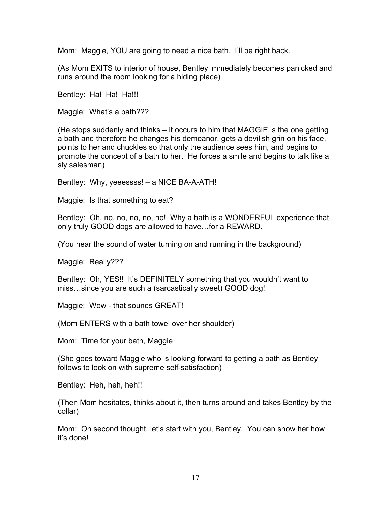Mom: Maggie, YOU are going to need a nice bath. I'll be right back.

(As Mom EXITS to interior of house, Bentley immediately becomes panicked and runs around the room looking for a hiding place)

Bentley: Ha! Ha! Ha!!!

Maggie: What's a bath???

(He stops suddenly and thinks – it occurs to him that MAGGIE is the one getting a bath and therefore he changes his demeanor, gets a devilish grin on his face, points to her and chuckles so that only the audience sees him, and begins to promote the concept of a bath to her. He forces a smile and begins to talk like a sly salesman)

Bentley: Why, yeeessss! – a NICE BA-A-ATH!

Maggie: Is that something to eat?

Bentley: Oh, no, no, no, no, no! Why a bath is a WONDERFUL experience that only truly GOOD dogs are allowed to have…for a REWARD.

(You hear the sound of water turning on and running in the background)

Maggie: Really???

Bentley: Oh, YES!! It's DEFINITELY something that you wouldn't want to miss…since you are such a (sarcastically sweet) GOOD dog!

Maggie: Wow - that sounds GREAT!

(Mom ENTERS with a bath towel over her shoulder)

Mom: Time for your bath, Maggie

(She goes toward Maggie who is looking forward to getting a bath as Bentley follows to look on with supreme self-satisfaction)

Bentley: Heh, heh, heh!!

(Then Mom hesitates, thinks about it, then turns around and takes Bentley by the collar)

Mom: On second thought, let's start with you, Bentley. You can show her how it's done!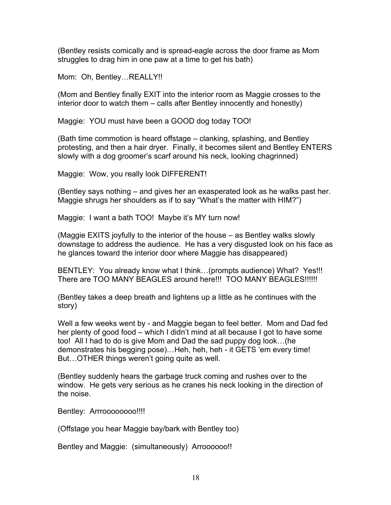(Bentley resists comically and is spread-eagle across the door frame as Mom struggles to drag him in one paw at a time to get his bath)

Mom: Oh, Bentley…REALLY!!

(Mom and Bentley finally EXIT into the interior room as Maggie crosses to the interior door to watch them – calls after Bentley innocently and honestly)

Maggie: YOU must have been a GOOD dog today TOO!

(Bath time commotion is heard offstage – clanking, splashing, and Bentley protesting, and then a hair dryer. Finally, it becomes silent and Bentley ENTERS slowly with a dog groomer's scarf around his neck, looking chagrinned)

Maggie: Wow, you really look DIFFERENT!

(Bentley says nothing – and gives her an exasperated look as he walks past her. Maggie shrugs her shoulders as if to say "What's the matter with HIM?")

Maggie: I want a bath TOO! Maybe it's MY turn now!

(Maggie EXITS joyfully to the interior of the house – as Bentley walks slowly downstage to address the audience. He has a very disgusted look on his face as he glances toward the interior door where Maggie has disappeared)

BENTLEY: You already know what I think…(prompts audience) What? Yes!!! There are TOO MANY BEAGLES around here!!! TOO MANY BEAGLES!!!!!!

(Bentley takes a deep breath and lightens up a little as he continues with the story)

Well a few weeks went by - and Maggie began to feel better. Mom and Dad fed her plenty of good food – which I didn't mind at all because I got to have some too! All I had to do is give Mom and Dad the sad puppy dog look…(he demonstrates his begging pose)…Heh, heh, heh - it GETS 'em every time! But…OTHER things weren't going quite as well.

(Bentley suddenly hears the garbage truck coming and rushes over to the window. He gets very serious as he cranes his neck looking in the direction of the noise.

Bentley: Arrroooooooo!!!!

(Offstage you hear Maggie bay/bark with Bentley too)

Bentley and Maggie: (simultaneously) Arroooooo!!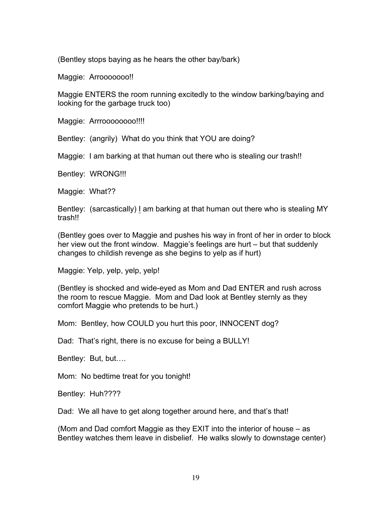(Bentley stops baying as he hears the other bay/bark)

Maggie: Arrooooooo!!

Maggie ENTERS the room running excitedly to the window barking/baying and looking for the garbage truck too)

Maggie: Arrroooooooo!!!!

Bentley: (angrily) What do you think that YOU are doing?

Maggie: I am barking at that human out there who is stealing our trash!!

Bentley: WRONG!!!

Maggie: What??

Bentley: (sarcastically) I am barking at that human out there who is stealing MY trash!!

(Bentley goes over to Maggie and pushes his way in front of her in order to block her view out the front window. Maggie's feelings are hurt – but that suddenly changes to childish revenge as she begins to yelp as if hurt)

Maggie: Yelp, yelp, yelp, yelp!

(Bentley is shocked and wide-eyed as Mom and Dad ENTER and rush across the room to rescue Maggie. Mom and Dad look at Bentley sternly as they comfort Maggie who pretends to be hurt.)

Mom: Bentley, how COULD you hurt this poor, INNOCENT dog?

Dad: That's right, there is no excuse for being a BULLY!

Bentley: But, but….

Mom: No bedtime treat for you tonight!

Bentley: Huh????

Dad: We all have to get along together around here, and that's that!

(Mom and Dad comfort Maggie as they EXIT into the interior of house – as Bentley watches them leave in disbelief. He walks slowly to downstage center)